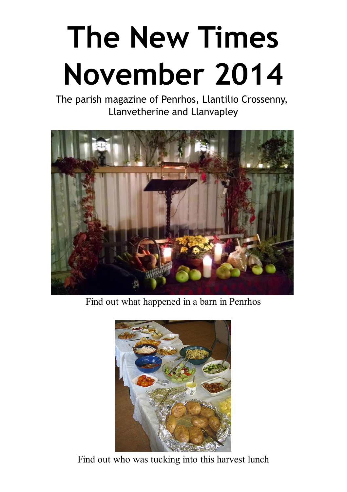# **The New Times November 2014**

The parish magazine of Penrhos, Llantilio Crossenny, Llanvetherine and Llanvapley



Find out what happened in a barn in Penrhos



Find out who was tucking into this harvest lunch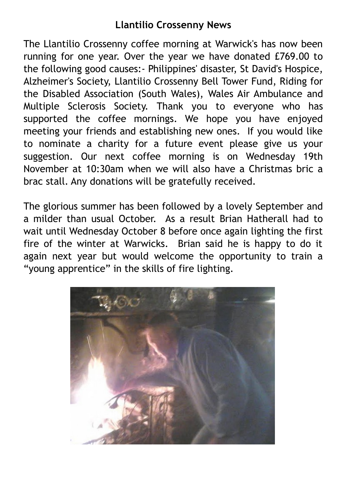# **Llantilio Crossenny News**

The Llantilio Crossenny coffee morning at Warwick's has now been running for one year. Over the year we have donated £769.00 to the following good causes:- Philippines' disaster, St David's Hospice, Alzheimer's Society, Llantilio Crossenny Bell Tower Fund, Riding for the Disabled Association (South Wales), Wales Air Ambulance and Multiple Sclerosis Society. Thank you to everyone who has supported the coffee mornings. We hope you have enjoyed meeting your friends and establishing new ones. If you would like to nominate a charity for a future event please give us your suggestion. Our next coffee morning is on Wednesday 19th November at 10:30am when we will also have a Christmas bric a brac stall. Any donations will be gratefully received.

The glorious summer has been followed by a lovely September and a milder than usual October. As a result Brian Hatherall had to wait until Wednesday October 8 before once again lighting the first fire of the winter at Warwicks. Brian said he is happy to do it again next year but would welcome the opportunity to train a "young apprentice" in the skills of fire lighting.

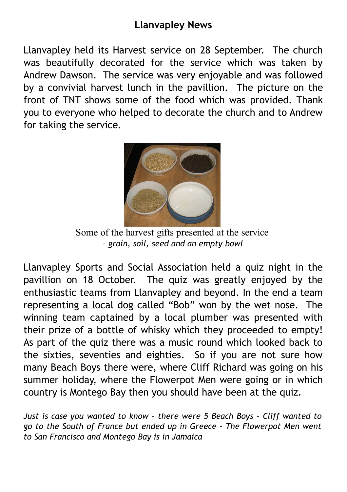# **Llanvapley News**

Llanvapley held its Harvest service on 28 September. The church was beautifully decorated for the service which was taken by Andrew Dawson. The service was very enjoyable and was followed by a convivial harvest lunch in the pavillion. The picture on the front of TNT shows some of the food which was provided. Thank you to everyone who helped to decorate the church and to Andrew for taking the service.



Some of the harvest gifts presented at the service *– grain, soil, seed and an empty bowl*

Llanvapley Sports and Social Association held a quiz night in the pavillion on 18 October. The quiz was greatly enjoyed by the enthusiastic teams from Llanvapley and beyond. In the end a team representing a local dog called "Bob" won by the wet nose. The winning team captained by a local plumber was presented with their prize of a bottle of whisky which they proceeded to empty! As part of the quiz there was a music round which looked back to the sixties, seventies and eighties. So if you are not sure how many Beach Boys there were, where Cliff Richard was going on his summer holiday, where the Flowerpot Men were going or in which country is Montego Bay then you should have been at the quiz.

*Just is case you wanted to know – there were 5 Beach Boys – Cliff wanted to go to the South of France but ended up in Greece – The Flowerpot Men went to San Francisco and Montego Bay is in Jamaica*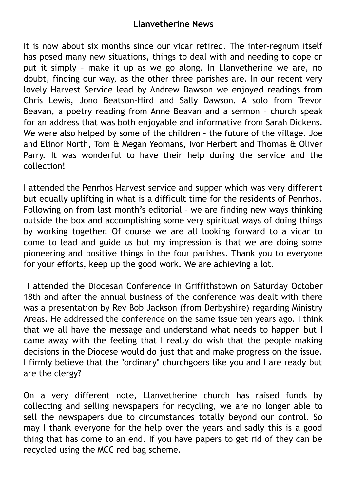#### **Llanvetherine News**

It is now about six months since our vicar retired. The inter-regnum itself has posed many new situations, things to deal with and needing to cope or put it simply – make it up as we go along. In Llanvetherine we are, no doubt, finding our way, as the other three parishes are. In our recent very lovely Harvest Service lead by Andrew Dawson we enjoyed readings from Chris Lewis, Jono Beatson-Hird and Sally Dawson. A solo from Trevor Beavan, a poetry reading from Anne Beavan and a sermon – church speak for an address that was both enjoyable and informative from Sarah Dickens. We were also helped by some of the children – the future of the village. Joe and Elinor North, Tom & Megan Yeomans, Ivor Herbert and Thomas & Oliver Parry. It was wonderful to have their help during the service and the collection!

I attended the Penrhos Harvest service and supper which was very different but equally uplifting in what is a difficult time for the residents of Penrhos. Following on from last month's editorial – we are finding new ways thinking outside the box and accomplishing some very spiritual ways of doing things by working together. Of course we are all looking forward to a vicar to come to lead and guide us but my impression is that we are doing some pioneering and positive things in the four parishes. Thank you to everyone for your efforts, keep up the good work. We are achieving a lot.

 I attended the Diocesan Conference in Griffithstown on Saturday October 18th and after the annual business of the conference was dealt with there was a presentation by Rev Bob Jackson (from Derbyshire) regarding Ministry Areas. He addressed the conference on the same issue ten years ago. I think that we all have the message and understand what needs to happen but I came away with the feeling that I really do wish that the people making decisions in the Diocese would do just that and make progress on the issue. I firmly believe that the "ordinary" churchgoers like you and I are ready but are the clergy?

On a very different note, Llanvetherine church has raised funds by collecting and selling newspapers for recycling, we are no longer able to sell the newspapers due to circumstances totally beyond our control. So may I thank everyone for the help over the years and sadly this is a good thing that has come to an end. If you have papers to get rid of they can be recycled using the MCC red bag scheme.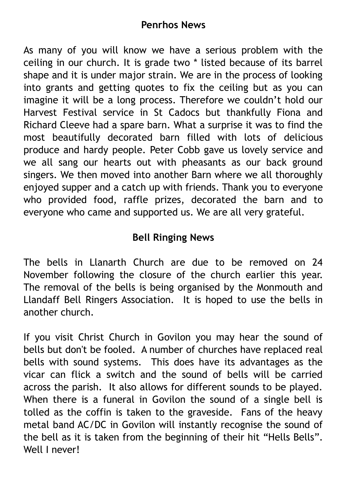As many of you will know we have a serious problem with the ceiling in our church. It is grade two \* listed because of its barrel shape and it is under major strain. We are in the process of looking into grants and getting quotes to fix the ceiling but as you can imagine it will be a long process. Therefore we couldn't hold our Harvest Festival service in St Cadocs but thankfully Fiona and Richard Cleeve had a spare barn. What a surprise it was to find the most beautifully decorated barn filled with lots of delicious produce and hardy people. Peter Cobb gave us lovely service and we all sang our hearts out with pheasants as our back ground singers. We then moved into another Barn where we all thoroughly enjoyed supper and a catch up with friends. Thank you to everyone who provided food, raffle prizes, decorated the barn and to everyone who came and supported us. We are all very grateful.

# **Bell Ringing News**

The bells in Llanarth Church are due to be removed on 24 November following the closure of the church earlier this year. The removal of the bells is being organised by the Monmouth and Llandaff Bell Ringers Association. It is hoped to use the bells in another church.

If you visit Christ Church in Govilon you may hear the sound of bells but don't be fooled. A number of churches have replaced real bells with sound systems. This does have its advantages as the vicar can flick a switch and the sound of bells will be carried across the parish. It also allows for different sounds to be played. When there is a funeral in Govilon the sound of a single bell is tolled as the coffin is taken to the graveside. Fans of the heavy metal band AC/DC in Govilon will instantly recognise the sound of the bell as it is taken from the beginning of their hit "Hells Bells". Well I never!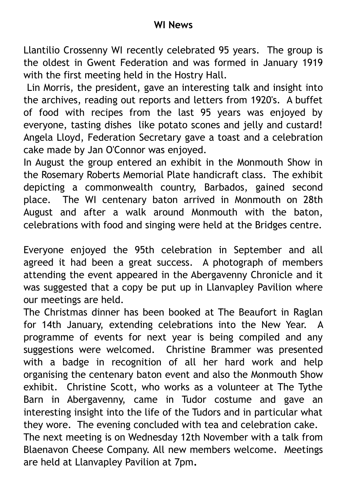## **WI News**

Llantilio Crossenny WI recently celebrated 95 years. The group is the oldest in Gwent Federation and was formed in January 1919 with the first meeting held in the Hostry Hall.

 Lin Morris, the president, gave an interesting talk and insight into the archives, reading out reports and letters from 1920's. A buffet of food with recipes from the last 95 years was enjoyed by everyone, tasting dishes like potato scones and jelly and custard! Angela Lloyd, Federation Secretary gave a toast and a celebration cake made by Jan O'Connor was enjoyed.

In August the group entered an exhibit in the Monmouth Show in the Rosemary Roberts Memorial Plate handicraft class. The exhibit depicting a commonwealth country, Barbados, gained second place. The WI centenary baton arrived in Monmouth on 28th August and after a walk around Monmouth with the baton, celebrations with food and singing were held at the Bridges centre.

Everyone enjoyed the 95th celebration in September and all agreed it had been a great success. A photograph of members attending the event appeared in the Abergavenny Chronicle and it was suggested that a copy be put up in Llanvapley Pavilion where our meetings are held.

The Christmas dinner has been booked at The Beaufort in Raglan for 14th January, extending celebrations into the New Year. A programme of events for next year is being compiled and any suggestions were welcomed. Christine Brammer was presented with a badge in recognition of all her hard work and help organising the centenary baton event and also the Monmouth Show exhibit. Christine Scott, who works as a volunteer at The Tythe Barn in Abergavenny, came in Tudor costume and gave an interesting insight into the life of the Tudors and in particular what they wore. The evening concluded with tea and celebration cake.

The next meeting is on Wednesday 12th November with a talk from Blaenavon Cheese Company. All new members welcome. Meetings are held at Llanvapley Pavilion at 7pm**.**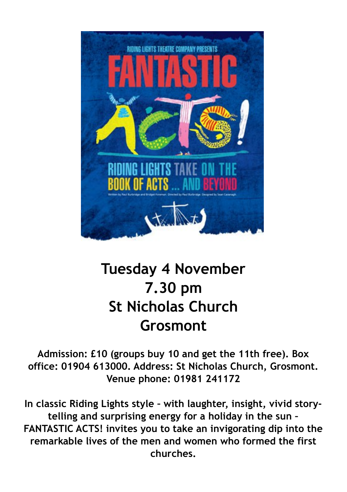

# **Tuesday 4 November 7.30 pm St Nicholas Church Grosmont**

**Admission: £10 (groups buy 10 and get the 11th free). Box office: 01904 613000. Address: St Nicholas Church, Grosmont. Venue phone: 01981 241172**

**In classic Riding Lights style – with laughter, insight, vivid storytelling and surprising energy for a holiday in the sun – FANTASTIC ACTS! invites you to take an invigorating dip into the remarkable lives of the men and women who formed the first churches.**